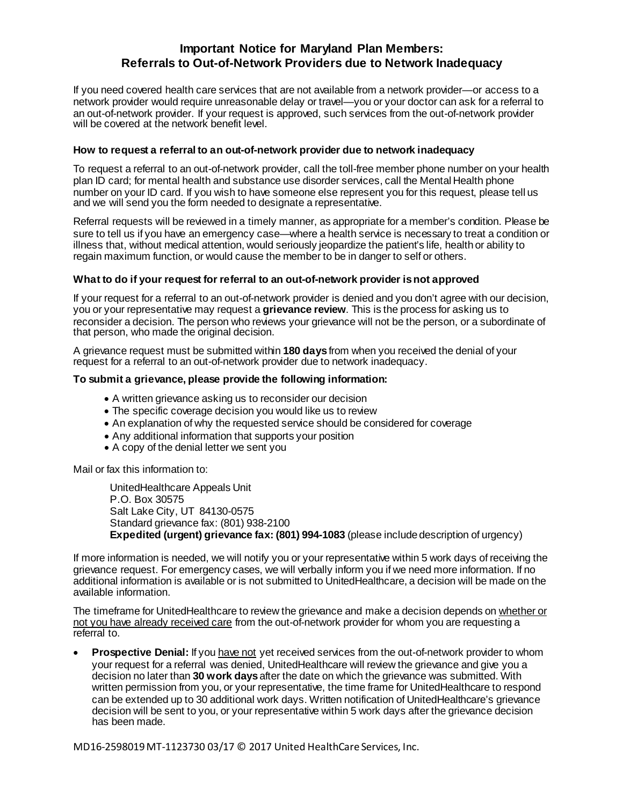## **Important Notice for Maryland Plan Members: Referrals to Out-of-Network Providers due to Network Inadequacy**

If you need covered health care services that are not available from a network provider—or access to a network provider would require unreasonable delay or travel—you or your doctor can ask for a referral to an out-of-network provider. If your request is approved, such services from the out-of-network provider will be covered at the network benefit level.

## **How to request a referral to an out-of-network provider due to network inadequacy**

To request a referral to an out-of-network provider, call the toll-free member phone number on your health plan ID card; for mental health and substance use disorder services, call the Mental Health phone number on your ID card. If you wish to have someone else represent you for this request, please tell us and we will send you the form needed to designate a representative.

Referral requests will be reviewed in a timely manner, as appropriate for a member's condition. Please be sure to tell us if you have an emergency case—where a health service is necessary to treat a condition or illness that, without medical attention, would seriously jeopardize the patient's life, health or ability to regain maximum function, or would cause the member to be in danger to self or others.

## **What to do if your request for referral to an out-of-network provider is not approved**

If your request for a referral to an out-of-network provider is denied and you don't agree with our decision, you or your representative may request a **grievance review**. This is the process for asking us to reconsider a decision. The person who reviews your grievance will not be the person, or a subordinate of that person, who made the original decision.

A grievance request must be submitted within **180 days**from when you received the denial of your request for a referral to an out-of-network provider due to network inadequacy.

## **To submit a grievance, please provide the following information:**

- A written grievance asking us to reconsider our decision
- The specific coverage decision you would like us to review
- An explanation of why the requested service should be considered for coverage
- Any additional information that supports your position
- A copy of the denial letter we sent you

Mail or fax this information to:

UnitedHealthcare Appeals Unit P.O. Box 30575 Salt Lake City, UT 84130-0575 Standard grievance fax: (801) 938-2100 **Expedited (urgent) grievance fax: (801) 994-1083** (please include description of urgency)

If more information is needed, we will notify you or your representative within 5 work days of receiving the grievance request. For emergency cases, we will verbally inform you if we need more information. If no additional information is available or is not submitted to UnitedHealthcare, a decision will be made on the available information.

The timeframe for UnitedHealthcare to review the grievance and make a decision depends on whether or not you have already received care from the out-of-network provider for whom you are requesting a referral to.

**Prospective Denial:** If you have not yet received services from the out-of-network provider to whom your request for a referral was denied, UnitedHealthcare will review the grievance and give you a decision no later than **30 work days**after the date on which the grievance was submitted. With written permission from you, or your representative, the time frame for UnitedHealthcare to respond can be extended up to 30 additional work days. Written notification of UnitedHealthcare's grievance decision will be sent to you, or your representative within 5 work days after the grievance decision has been made.

MD16-2598019MT-1123730 03/17 © 2017 United HealthCare Services, Inc.